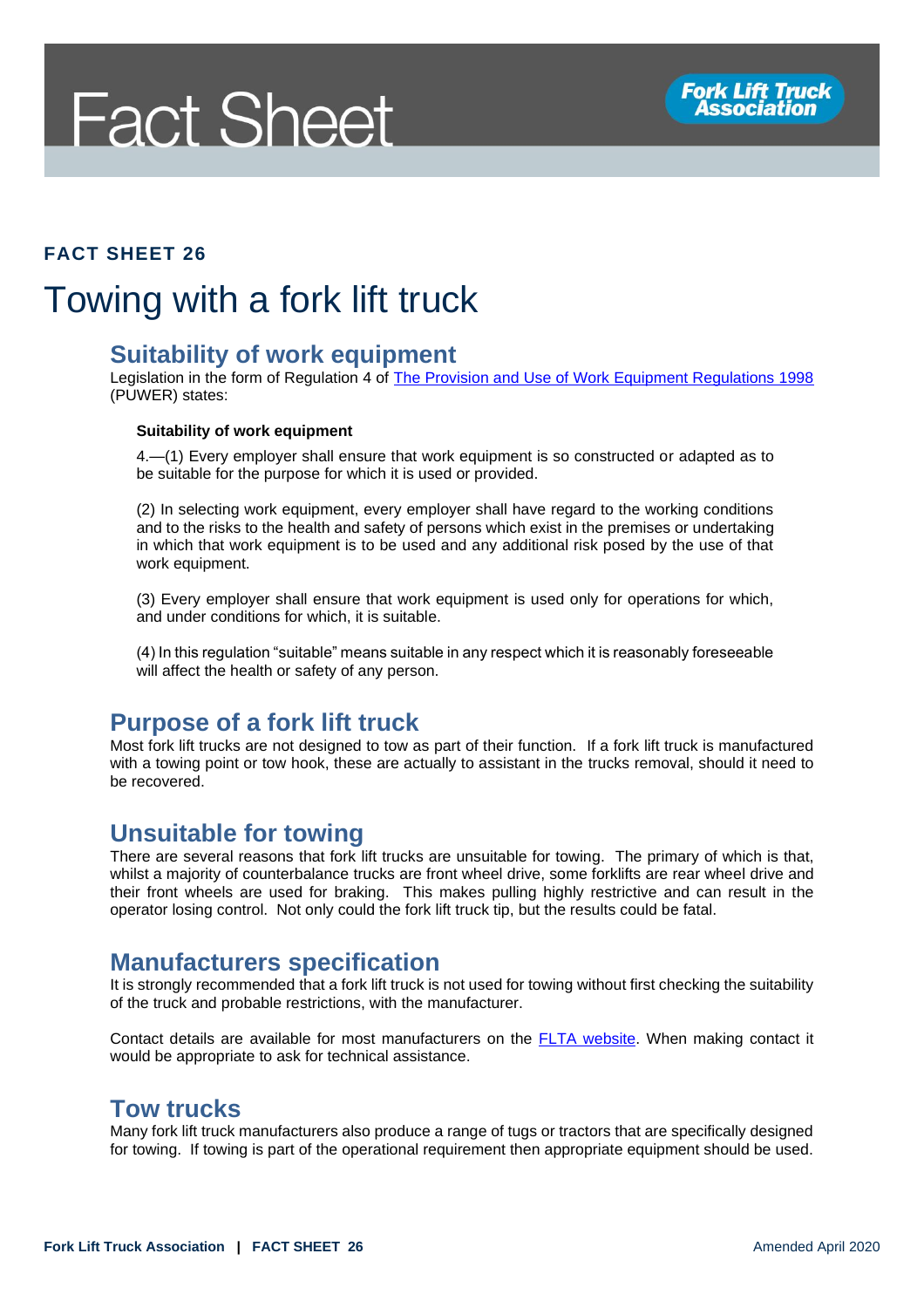# **Fact Sheet**

#### **FACT SHEET 26**

## Towing with a fork lift truck

#### **Suitability of work equipment**

Legislation in the form of Regulation 4 of [The Provision and Use of Work Equipment Regulations 1998](http://www.legislation.gov.uk/uksi/1998/2306/regulation/4/made) (PUWER) states:

#### **Suitability of work equipment**

4.—(1) Every employer shall ensure that work equipment is so constructed or adapted as to be suitable for the purpose for which it is used or provided.

(2) In selecting work equipment, every employer shall have regard to the working conditions and to the risks to the health and safety of persons which exist in the premises or undertaking in which that work equipment is to be used and any additional risk posed by the use of that work equipment.

(3) Every employer shall ensure that work equipment is used only for operations for which, and under conditions for which, it is suitable.

(4) In this regulation "suitable" means suitable in any respect which it is reasonably foreseeable will affect the health or safety of any person.

### **Purpose of a fork lift truck**

Most fork lift trucks are not designed to tow as part of their function. If a fork lift truck is manufactured with a towing point or tow hook, these are actually to assistant in the trucks removal, should it need to be recovered.

#### **Unsuitable for towing**

There are several reasons that fork lift trucks are unsuitable for towing. The primary of which is that, whilst a majority of counterbalance trucks are front wheel drive, some forklifts are rear wheel drive and their front wheels are used for braking. This makes pulling highly restrictive and can result in the operator losing control. Not only could the fork lift truck tip, but the results could be fatal.

#### **Manufacturers specification**

It is strongly recommended that a fork lift truck is not used for towing without first checking the suitability of the truck and probable restrictions, with the manufacturer.

Contact details are available for most manufacturers on the [FLTA website.](http://www.fork-truck.org.uk/) When making contact it would be appropriate to ask for technical assistance.

### **Tow trucks**

Many fork lift truck manufacturers also produce a range of tugs or tractors that are specifically designed for towing. If towing is part of the operational requirement then appropriate equipment should be used.